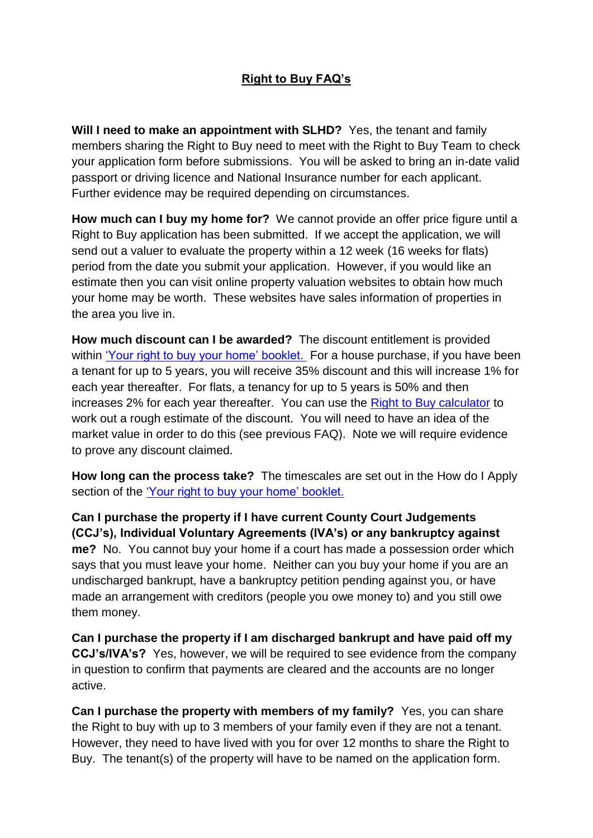## **Right to Buy FAQ's**

**Will I need to make an appointment with SLHD?** Yes, the tenant and family members sharing the Right to Buy need to meet with the Right to Buy Team to check your application form before submissions. You will be asked to bring an in-date valid passport or driving licence and National Insurance number for each applicant. Further evidence may be required depending on circumstances.

**How much can I buy my home for?** We cannot provide an offer price figure until a Right to Buy application has been submitted. If we accept the application, we will send out a valuer to evaluate the property within a 12 week (16 weeks for flats) period from the date you submit your application. However, if you would like an estimate then you can visit online property valuation websites to obtain how much your home may be worth. These websites have sales information of properties in the area you live in.

**How much discount can I be awarded?** The discount entitlement is provided within ['Your right to buy your home' booklet.](https://www.stlegerhomes.co.uk/EasySiteWeb/GatewayLink.aspx?alId=18534) For a house purchase, if you have been a tenant for up to 5 years, you will receive 35% discount and this will increase 1% for each year thereafter. For flats, a tenancy for up to 5 years is 50% and then increases 2% for each year thereafter. You can use the [Right to Buy calculator](https://righttobuy.gov.uk/right-to-buy-calculator/) to work out a rough estimate of the discount. You will need to have an idea of the market value in order to do this (see previous FAQ). Note we will require evidence to prove any discount claimed.

**How long can the process take?** The timescales are set out in the How do I Apply section of the ['Your right to buy your home' booklet.](https://www.stlegerhomes.co.uk/EasySiteWeb/GatewayLink.aspx?alId=18534) 

**Can I purchase the property if I have current County Court Judgements (CCJ's), Individual Voluntary Agreements (IVA's) or any bankruptcy against me?** No. You cannot buy your home if a court has made a possession order which says that you must leave your home. Neither can you buy your home if you are an undischarged bankrupt, have a bankruptcy petition pending against you, or have made an arrangement with creditors (people you owe money to) and you still owe them money.

**Can I purchase the property if I am discharged bankrupt and have paid off my CCJ's/IVA's?** Yes, however, we will be required to see evidence from the company in question to confirm that payments are cleared and the accounts are no longer active.

**Can I purchase the property with members of my family?** Yes, you can share the Right to buy with up to 3 members of your family even if they are not a tenant. However, they need to have lived with you for over 12 months to share the Right to Buy. The tenant(s) of the property will have to be named on the application form.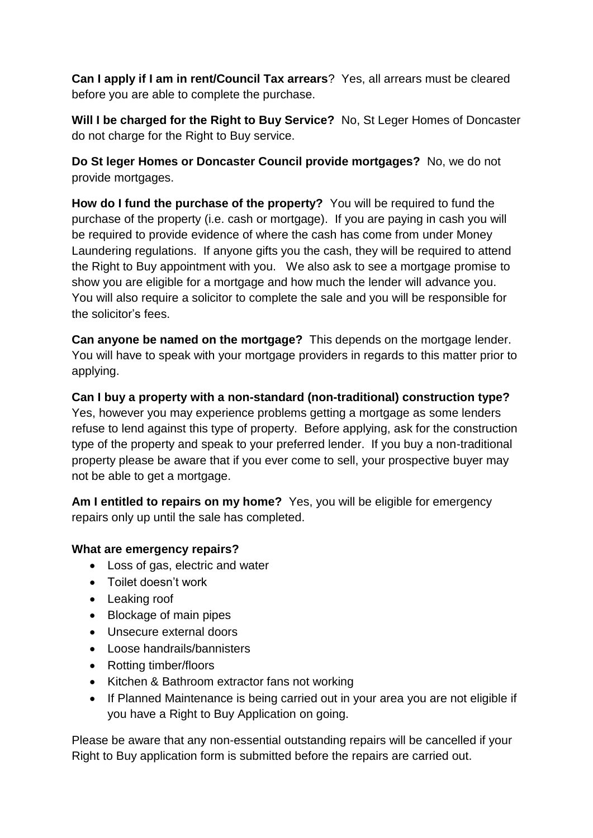**Can I apply if I am in rent/Council Tax arrears**? Yes, all arrears must be cleared before you are able to complete the purchase.

**Will I be charged for the Right to Buy Service?** No, St Leger Homes of Doncaster do not charge for the Right to Buy service.

**Do St leger Homes or Doncaster Council provide mortgages?** No, we do not provide mortgages.

**How do I fund the purchase of the property?** You will be required to fund the purchase of the property (i.e. cash or mortgage). If you are paying in cash you will be required to provide evidence of where the cash has come from under Money Laundering regulations. If anyone gifts you the cash, they will be required to attend the Right to Buy appointment with you. We also ask to see a mortgage promise to show you are eligible for a mortgage and how much the lender will advance you. You will also require a solicitor to complete the sale and you will be responsible for the solicitor's fees.

**Can anyone be named on the mortgage?** This depends on the mortgage lender. You will have to speak with your mortgage providers in regards to this matter prior to applying.

**Can I buy a property with a non-standard (non-traditional) construction type?**  Yes, however you may experience problems getting a mortgage as some lenders refuse to lend against this type of property. Before applying, ask for the construction type of the property and speak to your preferred lender. If you buy a non-traditional property please be aware that if you ever come to sell, your prospective buyer may not be able to get a mortgage.

**Am I entitled to repairs on my home?** Yes, you will be eligible for emergency repairs only up until the sale has completed.

## **What are emergency repairs?**

- Loss of gas, electric and water
- Toilet doesn't work
- Leaking roof
- Blockage of main pipes
- Unsecure external doors
- Loose handrails/bannisters
- Rotting timber/floors
- Kitchen & Bathroom extractor fans not working
- If Planned Maintenance is being carried out in your area you are not eligible if you have a Right to Buy Application on going.

Please be aware that any non-essential outstanding repairs will be cancelled if your Right to Buy application form is submitted before the repairs are carried out.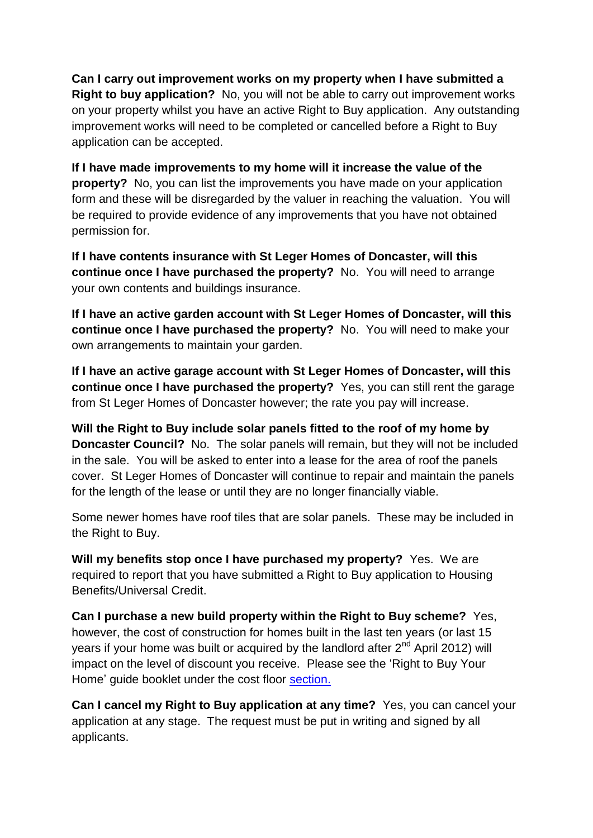**Can I carry out improvement works on my property when I have submitted a Right to buy application?** No, you will not be able to carry out improvement works on your property whilst you have an active Right to Buy application. Any outstanding improvement works will need to be completed or cancelled before a Right to Buy application can be accepted.

**If I have made improvements to my home will it increase the value of the property?** No, you can list the improvements you have made on your application form and these will be disregarded by the valuer in reaching the valuation. You will be required to provide evidence of any improvements that you have not obtained permission for.

**If I have contents insurance with St Leger Homes of Doncaster, will this continue once I have purchased the property?** No. You will need to arrange your own contents and buildings insurance.

**If I have an active garden account with St Leger Homes of Doncaster, will this continue once I have purchased the property?** No. You will need to make your own arrangements to maintain your garden.

**If I have an active garage account with St Leger Homes of Doncaster, will this continue once I have purchased the property?** Yes, you can still rent the garage from St Leger Homes of Doncaster however; the rate you pay will increase.

**Will the Right to Buy include solar panels fitted to the roof of my home by Doncaster Council?** No. The solar panels will remain, but they will not be included in the sale. You will be asked to enter into a lease for the area of roof the panels cover. St Leger Homes of Doncaster will continue to repair and maintain the panels for the length of the lease or until they are no longer financially viable.

Some newer homes have roof tiles that are solar panels. These may be included in the Right to Buy.

**Will my benefits stop once I have purchased my property?** Yes. We are required to report that you have submitted a Right to Buy application to Housing Benefits/Universal Credit.

**Can I purchase a new build property within the Right to Buy scheme?** Yes, however, the cost of construction for homes built in the last ten years (or last 15 years if your home was built or acquired by the landlord after 2<sup>nd</sup> April 2012) will impact on the level of discount you receive. Please see the 'Right to Buy Your Home' guide booklet under the cost floor [section.](https://www.stlegerhomes.co.uk/EasySiteWeb/GatewayLink.aspx?alId=18534)

**Can I cancel my Right to Buy application at any time?** Yes, you can cancel your application at any stage. The request must be put in writing and signed by all applicants.